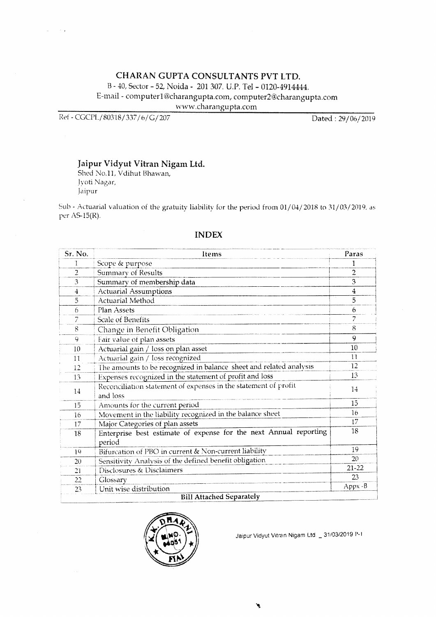# CHARAN GUPTA CONSULTANTS PVT LTD. B - 40, Sector - 52, Noida - 201 307. U.P. Tel - 0120-4914444. E-mail - computer1@charangupta.com, computer2@charangupta.com www.charangupta.com

Ref - CGCPL/80318/337/6/G/207

 $\sim$   $\sim$ 

Dated: 29/06/2019

# Jaipur Vidyut Vitran Nigam Ltd.

Shed No.11, Vdihut Bhawan, Jyoti Nagar, Jaipur

Sub - Actuarial valuation of the gratuity liability for the period from 01/04/2018 to 31/03/2019, as per AS-15(R).

| Sr. No.        | Items                                                                       | Paras          |
|----------------|-----------------------------------------------------------------------------|----------------|
| 1              | Scope & purpose                                                             |                |
| $\overline{2}$ | Summary of Results                                                          | $\overline{2}$ |
| 3              | Summary of membership data                                                  | 3              |
| $\overline{4}$ | <b>Actuarial Assumptions</b>                                                | $\overline{4}$ |
| 5              | Actuarial Method                                                            | 5              |
| 6              | Plan Assets                                                                 | 6              |
| 7              | Scale of Benefits                                                           | 7              |
| 8              | Change in Benefit Obligation                                                | 8              |
| 9              | Fair value of plan assets                                                   | 9              |
| 10             | Actuarial gain / loss on plan asset                                         | 10             |
| 11             | Actuarial gain / loss recognized                                            | 11             |
| 12             | The amounts to be recognized in balance sheet and related analysis          | 12             |
| 13             | Expenses recognized in the statement of profit and loss                     | 13             |
| 14             | Reconciliation statement of expenses in the statement of profit<br>and loss | 14             |
| 15             | Amounts for the current period                                              | 15             |
| 16             | Movement in the liability recognized in the balance sheet                   | 16             |
| 17             | Major Categories of plan assets                                             | 17             |
| 18             | Enterprise best estimate of expense for the next Annual reporting<br>period | 18             |
| 19             | Bifurcation of PBO in current & Non-current liability                       | 19             |
| 20             | Sensitivity Analysis of the defined benefit obligation                      | 20             |
| 21             | Disclosures & Disclaimers                                                   | $21 - 22$      |
| 22             | Glossary                                                                    | 23             |
| 23             | Unit wise distribution                                                      | $Appx - B$     |
|                | <b>Bill Attached Separately</b>                                             |                |

# **INDEX**

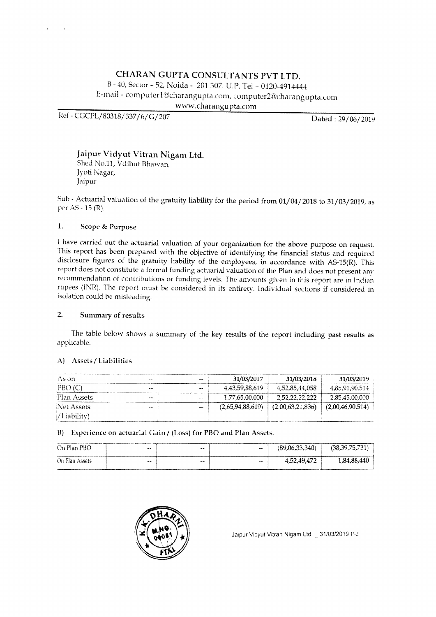# CHARAN GUPTA CONSULTANTS PVT LTD. B - 40, Sector - 52, Noida - 201 307. U.P. Tel - 0120-4914444. E-mail - computer1@charangupta.com, computer2@charangupta.com www.charangupta.com

Ref - CGCPL/80318/337/6/G/207

Dated: 29/06/2019

# Jaipur Vidyut Vitran Nigam Ltd.

Shed No.11, Vdihut Bhawan, Jyoti Nagar, Jaipur

Sub - Actuarial valuation of the gratuity liability for the period from 01/04/2018 to 31/03/2019, as per AS - 15 (R).

#### $\mathbf{1}$ . Scope & Purpose

I have carried out the actuarial valuation of your organization for the above purpose on request. This report has been prepared with the objective of identifying the financial status and required disclosure figures of the gratuity liability of the employees, in accordance with AS-15(R). This report does not constitute a formal funding actuarial valuation of the Plan and does not present any recommendation of contributions or funding levels. The amounts given in this report are in Indian rupees (INR). The report must be considered in its entirety. Individual sections if considered in isolation could be misleading.

#### $2.$ Summary of results

The table below shows a summary of the key results of the report including past results as applicable.

## A) Assets / Liabilities

| As on-      | <b>ME WW</b> | $- -$        | 31/03/2017       | 31/03/2018       | 31/03/2019       |
|-------------|--------------|--------------|------------------|------------------|------------------|
| PBO(G)      | --           | <b>ANCHO</b> | 4.43.59.88.619   | 4.52.85.44.058   | 4.85.91.90.514   |
| Plan Assets | $\sim$       | $-$          | 1,77,65,00,000   | 2.52.22.22.222   | 2.85.45.00.000   |
| Net Assets  | $-$          | $+ + +$      | (2.65.94.88.619) | (2.00.63.21.836) | (2,00,46,90,514) |
| /Liability) |              |              |                  |                  |                  |

B) Experience on actuarial Gain / (Loss) for PBO and Plan Assets.

| On Plan PBO    | $-$ | $-$ | $-$          | (89,06,33,340) | (38.39.75.731) |
|----------------|-----|-----|--------------|----------------|----------------|
| On Plan Assets | $-$ | -   | <b>SHOW:</b> | 4,52,49,472    | 1.84.88.440    |

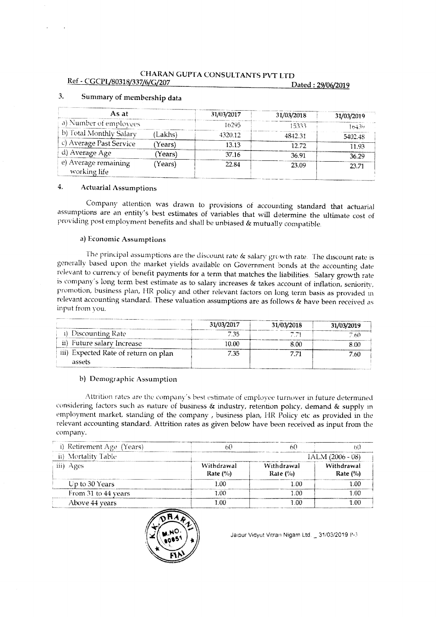| As at                                |        | 31/03/2017 | 31/03/2018 | 31/03/2019 |
|--------------------------------------|--------|------------|------------|------------|
| a) Number of employees               |        | 16295      | 15333      | 16434      |
| b) Total Monthly Salary              | Lakhs) | 4320.12.   | 4842.31    | 5402.48    |
| c) Average Past Service              | Years) | 13 13      | 12.72.     | 11.93      |
| d) Average Age                       | Years) | 37.16      | 36.91      | 36.29      |
| e) Average remaining<br>working life | Years) | 22.84      | 23.09      | 23.71      |

### $\overline{3}$ . Summary of membership data

#### 4. **Actuarial Assumptions**

Company attention was drawn to provisions of accounting standard that actuarial assumptions are an entity's best estimates of variables that will determine the ultimate cost of providing post employment benefits and shall be unbiased & mutually compatible.

## a) Economic Assumptions

The principal assumptions are the discount rate & salary growth rate. The discount rate is generally based upon the market yields available on Government bonds at the accounting date relevant to currency of benefit payments for a term that matches the liabilities. Salary growth rate is company's long term best estimate as to salary increases & takes account of inflation, seniority, promotion, business plan, HR policy and other relevant factors on long term basis as provided in relevant accounting standard. These valuation assumptions are as follows & have been received as input from you.

|                                      | 31/03/2017 | 31/03/2018 | 31/03/2019 |
|--------------------------------------|------------|------------|------------|
| Discounting Rate                     | 7.35       |            | 7.60       |
| ii)<br>Future salary Increase        | 10.00      | 8.00       | 8.00       |
| iii) Expected Rate of return on plan | 7.35       |            | 7.60       |
| assets                               |            |            |            |

## b) Demographic Assumption

Attrition rates are the company's best estimate of employee turnover in future determined considering factors such as nature of business & industry, retention policy, demand & supply in employment market, standing of the company, business plan, HR Policy etc as provided in the relevant accounting standard. Attrition rates as given below have been received as input from the company.

| i) Retirement Age (Years) |                           |                                               |                           |  |
|---------------------------|---------------------------|-----------------------------------------------|---------------------------|--|
| ii) Mortality Table       | $1ALM (2006 - 08)$        |                                               |                           |  |
| iii) Ages                 | Withdrawal<br>Rate $(\%)$ | Withdrawal<br>Rate $\left(\frac{0}{0}\right)$ | Withdrawal<br>Rate $(\%)$ |  |
| Up to 30 Years            | 1.00                      | 1.00                                          | 1.00                      |  |
| From 31 to 44 years       | 1.00                      | 1.00                                          | 1 ດຕ                      |  |
| Above 44 years            | ោ                         | 1.00                                          | 1 ດດ                      |  |

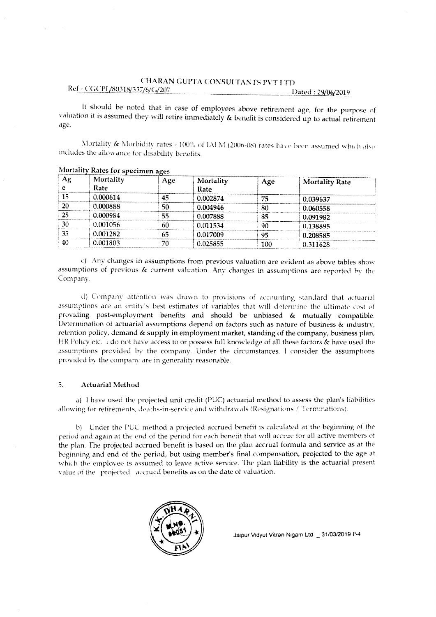It should be noted that in case of employees above retirement age, for the purpose of valuation it is assumed they will retire immediately & benefit is considered up to actual retirement age.

Mortality & Morbidity rates - 100% of IALM (2006-08) rates have been assumed which also includes the allowance for disability benefits.

| Аg | Mortality<br>Rate | Age | Mortality<br>Rate | Age | <b>Mortality Rate</b> |
|----|-------------------|-----|-------------------|-----|-----------------------|
| 15 | 0.000614          | 45  | 0.002874          | 75  | 0.039637              |
| 20 | 0.000888          | 50  | 0.004946          | 80  | 0.060558              |
| 25 | 0.000984          | 55  | 0.007888          | 85  | 0.091982              |
| 30 | 0.001056          | 60  | 0.011534          | 90  | 0.138895              |
| 35 | 0.001282          | 65  | 0.017009          | 95  | 0.208585              |
| 40 | 0.001803          | 70. | 0.025855          | 100 | 0.311628              |

## Mortality Rates for specimen ages

c) Any changes in assumptions from previous valuation are evident as above tables show assumptions of previous & current valuation. Any changes in assumptions are reported by the Company.

d) Company attention was drawn to provisions of accounting standard that actuarial assumptions are an entity's best estimates of variables that will determine the ultimate cost of providing post-employment benefits and should be unbiased & mutually compatible. Determination of actuarial assumptions depend on factors such as nature of business & industry, retention policy, demand & supply in employment market, standing of the company, business plan, HR Policy etc. I do not have access to or possess full knowledge of all these factors & have used the assumptions provided by the company. Under the circumstances, I consider the assumptions provided by the company are in generality reasonable.

#### $5<sub>1</sub>$ **Actuarial Method**

a) I have used the projected unit credit (PUC) actuarial method to assess the plan's liabilities allowing for retirements, deaths-in-service and withdrawals (Resignations / Terminations).

b) Under the PUC method a projected accrued benefit is calculated at the beginning of the period and again at the end of the period for each benefit that will accrue for all active members of the plan. The projected accrued benefit is based on the plan accrual formula and service as at the beginning and end of the period, but using member's final compensation, projected to the age at which the employee is assumed to leave active service. The plan liability is the actuarial present value of the projected accrued benefits as on the date of valuation.

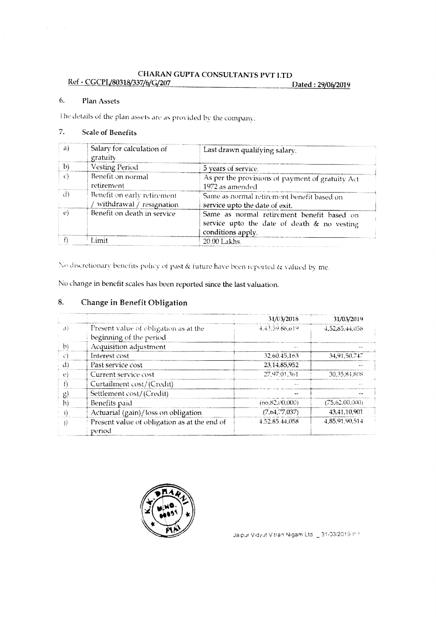### 6. Plan Assets

The details of the plan assets are as provided by the company.

### $\overline{7}$ . **Scale of Benefits**

| a)                              | Salary for calculation of<br>gratuity                     | Last drawn qualifying salary.                                                                                  |
|---------------------------------|-----------------------------------------------------------|----------------------------------------------------------------------------------------------------------------|
| $\vert$ b)                      | Vesting Period                                            | 5 years of service.                                                                                            |
|                                 | Benefit on normal<br>retirement                           | As per the provisions of payment of gratuity Act<br>1972 as amended                                            |
| $\langle \cdot   \cdot \rangle$ | Benefit on early retirement<br>withdrawal $/$ resignation | Same as normal retirement benefit based on<br>service upto the date of exit.                                   |
| (3)                             | Benefit on death in service                               | Same as normal retirement benefit based on<br>service upto the date of death & no vesting<br>conditions apply. |
|                                 | I imit                                                    | 20.00 Lakhs.                                                                                                   |

No discretionary benefits policy of past & future have been reported & valued by me.

No change in benefit scales has been reported since the last valuation.

### 8. **Change in Benefit Obligation**

|                           |                                                        | 31/03/2018     | 31/03/2019     |
|---------------------------|--------------------------------------------------------|----------------|----------------|
| $\mathbf{d}$              | Present value of obligation as at the                  | 4,43,59,88,619 | 4.52.85.44.058 |
|                           | beginning of the period                                |                |                |
| $\mathbf{h}$              | Acquisition adjustment                                 |                |                |
| O                         | Interest cost                                          | 32.60.45.163   | 34.91.50.747   |
| A.                        | Past service cost                                      | 23,14,85,952   |                |
| $\mathbf{f}^{\mathbf{a}}$ | Current service cost                                   | 27.97.01.361   | 30.35.84.808   |
|                           | Curtailment cost/(Credit)                              |                |                |
| 旯                         | Settlement cost/(Credit)                               |                |                |
| h)                        | Benefits paid                                          | (66.82.00.000) | (75.62,00,000) |
|                           | Actuarial (gain)/loss on obligation                    | (7,64,77,037)  | 43,41,10,901   |
|                           | Present value of obligation as at the end of<br>period | 4.52.85.44.058 | 4.85.91.90.514 |

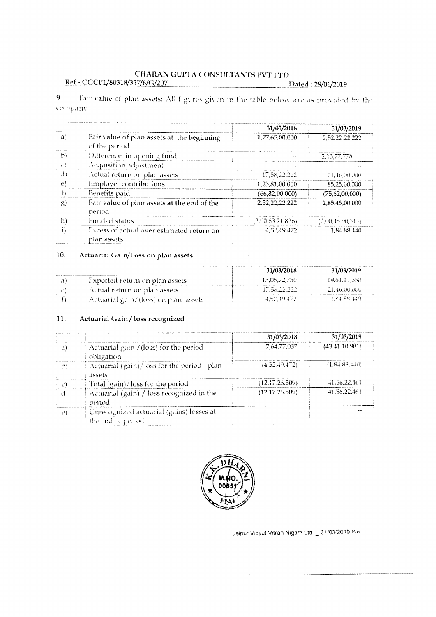Fair value of plan assets: All figures given in the table below are as provided by the  $9<sub>1</sub>$ company

|              |                                                              | 31/03/2018        | 31/03/2019        |
|--------------|--------------------------------------------------------------|-------------------|-------------------|
| -a)          | Fair value of plan assets at the beginning<br>of the period. | 1.77.65.00.000    | 2,52.22,22.222    |
| $\mathbb{D}$ | Difference in opening fund                                   |                   | 2,13,77,778       |
| 一心形          | Acquisition adjustment                                       |                   |                   |
| Æ            | Actual return on plan assets                                 | 17.58,22,222      | 21,46,00,000      |
| -01          | <b>Employer contributions</b>                                | 1,23,81,00,000    | 85,25,00,000      |
|              | Benefits paid                                                | (66, 82, 00, 000) | (75, 62, 00, 000) |
| 몸)           | Fair value of plan assets at the end of the<br>period        | 2.52.22.22.222    | 2.85.45.00.000    |
| $\ket{1}$    | <b>Funded status</b>                                         | (2,00,63,21,836)  | (2,00,46,90,514)  |
| -i ì         | Excess of actual over estimated return on<br>plan assets     | 4.52.49.472       | 1.84.88.440       |

### $10.$ Actuarial Gain/Loss on plan assets

|                                       | 31/03/2018      | 31/03/2019     |
|---------------------------------------|-----------------|----------------|
| Expected return on plan assets        | 13.05.72.750    | 19.61.11.560.  |
| Actual return on plan assets          | 17.58.22.222.   | 21.40.00.000   |
| Actuarial gain/(loss) on plan assets. | $-4.52(49.472)$ | 1 S.1 8S .140. |

#### $11.$ Actuarial Gain / loss recognized

|    |                                                                | 31/03/2018     | 31/03/2019      |
|----|----------------------------------------------------------------|----------------|-----------------|
| a١ | Actuarial gain / (loss) for the period-<br>obligation          | 7.64.77.037    | (43.41, 10.901) |
| hì | Actuarial (gain)/loss for the period - plan<br>assets          | (4.52.49.472)  | (1.84.88.440)   |
|    | Total (gain)/loss for the period                               | (12.17.26.509) | 41.56.22.401    |
| d) | Actuarial (gain) / loss recognized in the<br>period            | (12.17.26.509) | 41.56.22.461    |
| O) | Unrecognized actuarial (gains) losses at<br>the end of period. | en con         |                 |

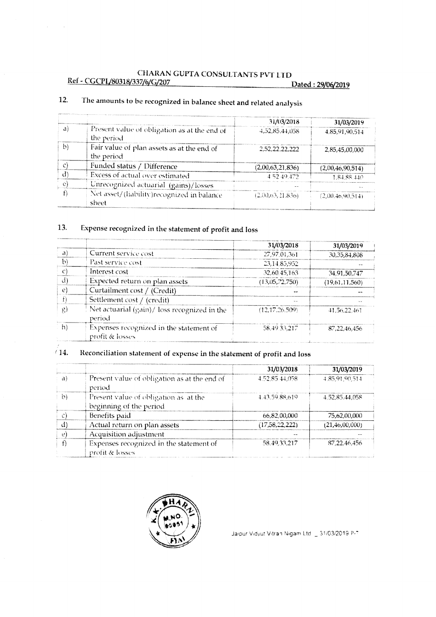|    |                                                            | 31/03/2018       | 31/03/2019       |
|----|------------------------------------------------------------|------------------|------------------|
| al | Present value of obligation as at the end of<br>the period | 4,52.85.44.058   | 4,85,91,90,514   |
| b) | Fair value of plan assets as at the end of<br>the period   | 2.52.22.22.222   | 2.85,45,00,000   |
|    | Funded status / Difference                                 | (2,00,63,21,836) | (2,00,46,90,514) |
|    | Excess of actual over estimated                            | 4.52.49.472      | 1.84.88.440      |
|    | Unrecognized actuarial (gains)/losses                      |                  | $\sim$ $\sim$    |
|    | Net asset/(liability)recognized in balance<br>sheet        | (2,00,63,21,836) | (2.00.46.90.514) |

## The amounts to be recognized in balance sheet and related analysis 12.

 $\bar{z}$ 

 $\sim$ 

## 13. Expense recognized in the statement of profit and loss

|    |                                                            | 31/03/2018     | 31/03/2019      |
|----|------------------------------------------------------------|----------------|-----------------|
| a: | Current service cost                                       | 27.97.01.361   | 30.35.84.808    |
| Þ, | Past service cost                                          | 23,14,85,952   |                 |
|    | Interest cost                                              | 32.60.45.163   | 34,91,50,747    |
| d) | Expected return on plan assets                             | (13,05,72,750) | (19.61, 11.560) |
| ₽  | Curtailment cost / (Credit)                                |                |                 |
|    | Settlement cost / (credit)                                 |                |                 |
| 只) | Net actuarial (gain)/loss recognized in the<br>period      | (12.17.26.509) | 41.56.22.461    |
|    | Expenses recognized in the statement of<br>profit & losses | 58.4933.217    | 87.22.46.456    |

## $\sqrt{14}$ . Reconciliation statement of expense in the statement of profit and loss

|    |                                                                  | 31/03/2018     | 31/03/2019        |
|----|------------------------------------------------------------------|----------------|-------------------|
| a) | Present value of obligation as at the end of<br>period           | 4.52.85.44.058 | 4.85.91.90.514    |
| D  | Present value of obligation as at the<br>beginning of the period | 4.43.59.88.619 | 4.52.85.44.058    |
|    | Benefits paid                                                    | 66,82,00,000   | 75,62,00,000      |
| d) | Actual return on plan assets                                     | (17,58,22,222) | (21, 46, 00, 000) |
|    | Acquisition adjustment                                           |                |                   |
|    | Expenses recognized in the statement of<br>profit & losses       | 58.49.33.217   | 87.22.46.456      |

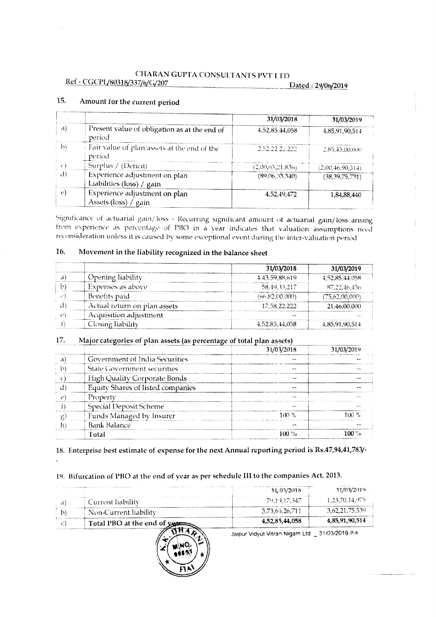# CHARAN GUPTA CONSULTANTS PVT LTD

Ref - CGCPL/80318/337/6/G/207

Dated: 29/06/2019

|    |                                                            | 31/03/2018       | 31/03/2019        |
|----|------------------------------------------------------------|------------------|-------------------|
| a) | Present value of obligation as at the end of<br>period     | 4.52.85.44.058   | 4,85,91,90,514    |
| h١ | Fair value of plan assets at the end of the<br>period      | 2.52.22.22.222   | 2.85.45.00(00)    |
|    | Surplus / (Deficit)                                        | (2,00,63,21,836) | (2,00,46,90,514)  |
| đ) | Experience adjustment on plan<br>Liabilities (loss) / gain | (89,06,33,340)   | (38, 39, 75, 731) |
|    | Experience adjustment on plan<br>Assets (loss) / gain      | 4.52.49.472      | 1,84,88,440       |

### 15. Amount for the current period

Significance of actuarial gain/loss - Recurring significant amount of actuarial gain/loss arising from experience as percentage of PBO in a year indicates that valuation assumptions need reconsideration unless it is caused by some exceptional event during the inter-valuation period

### Movement in the liability recognized in the balance sheet 16.

|                              | 31/03/2018     | 31/03/2019     |
|------------------------------|----------------|----------------|
| Opening liability            | 4.43.59.88.619 | 4.52.85.44.058 |
| Expenses as above            | 58.49.33.217   | 87.22.46.456   |
| Benefits paid                | (66.82.00.000) | 75,62,00,000)  |
| Actual return on plan assets | 17.58.22.222   | 21,46,00,000   |
| Acquisition adjustment       |                |                |
| Closing liability            | 4,52,85,44,058 | 4,85,91,90,514 |

#### 17. Major categories of plan assets (as percentage of total plan assets)

|                                          | 31/03/2018    | 31/03/2019       |
|------------------------------------------|---------------|------------------|
| Government of India Securities           |               |                  |
| <b>State Government securities</b>       | $\mathbf{w}$  |                  |
| <b>High Quality Corporate Bonds</b>      | <b>10.000</b> |                  |
| <b>Equity Shares of listed companies</b> | - -           |                  |
| Property                                 |               |                  |
| <b>Special Deposit Scheme</b>            |               |                  |
| Funds Managed by Insurer                 | 100 %         | 100 <sup>o</sup> |
| <b>Bank Balance</b>                      |               |                  |
| Total                                    | $100\%$       | 100 %            |

# 18. Enterprise best estimate of expense for the next Annual reporting period is Rs.47,94,41,783/-

# 19. Bifurcation of PBO at the end of year as per schedule III to the companies Act, 2013.

|                                                                                                                               | 31/03/2018     | 31/03/2019     |
|-------------------------------------------------------------------------------------------------------------------------------|----------------|----------------|
| .<br>Current liability                                                                                                        | 79.19.17.347   | 1.23,70,14,975 |
| Non-Current liability                                                                                                         | 3,73,66,26,711 | 3,62,21,75.539 |
| Total PBO at the end of yes                                                                                                   | 4,52,85,44,058 | 4,85,91,90,514 |
| discussions are access to the constitution of the construction of the constitution of the property of the constitution of the |                |                |

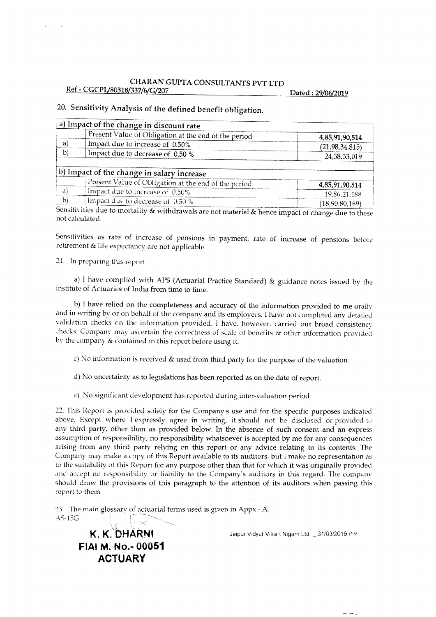# 20. Sensitivity Analysis of the defined benefit obligation.

|    | a) Impact of the change in discount rate                                                |                                |
|----|-----------------------------------------------------------------------------------------|--------------------------------|
|    | Present Value of Obligation at the end of the period                                    | 4,85,91,90,514                 |
| a) | Impact due to increase of 0.50%                                                         | (21, 98, 34, 815)              |
| b) | Impact due to decrease of 0.50 %                                                        | 24,38,33,019                   |
|    |                                                                                         |                                |
|    | b) Impact of the change in salary increase                                              |                                |
|    |                                                                                         |                                |
| a  | Present Value of Obligation at the end of the period<br>Impact due to increase of 0.50% | 4,85,91,90,514<br>19,86,21,188 |

Sensitivities due to mortality & withdrawals are not material & hence impact of change due to these not calculated.

Sensitivities as rate of increase of pensions in payment, rate of increase of pensions before retirement & life expectancy are not applicable.

21. In preparing this report

 $\lambda$ 

a) I have complied with APS (Actuarial Practice Standard) & guidance notes issued by the institute of Actuaries of India from time to time.

b) I have relied on the completeness and accuracy of the information provided to me orally and in writing by or on behalf of the company and its employees. I have not completed any detailed validation checks on the information provided. I have, however, carried out broad consistency checks. Company may ascertain the correctness of scale of benefits & other information provided by the company & contained in this report before using it.

c) No information is received & used from third party for the purpose of the valuation.

- d) No uncertainty as to legislations has been reported as on the date of report.
- e) No significant development has reported during inter-valuation period.

22. This Report is provided solely for the Company's use and for the specific purposes indicated above. Except where I expressly agree in writing, it should not be disclosed or provided to any third party, other than as provided below. In the absence of such consent and an express assumption of responsibility, no responsibility whatsoever is accepted by me for any consequences arising from any third party relying on this report or any advice relating to its contents. The Company may make a copy of this Report available to its auditors, but I make no representation as to the suitability of this Report for any purpose other than that for which it was originally provided and accept no responsibility or liability to the Company's auditors in this regard. The company should draw the provisions of this paragraph to the attention of its auditors when passing this report to them.

23. The main glossary of actuarial terms used is given in Appx - A. AS-15G

# $K. K. DHARNI$ FIAI M. No.-00051 **ACTUARY**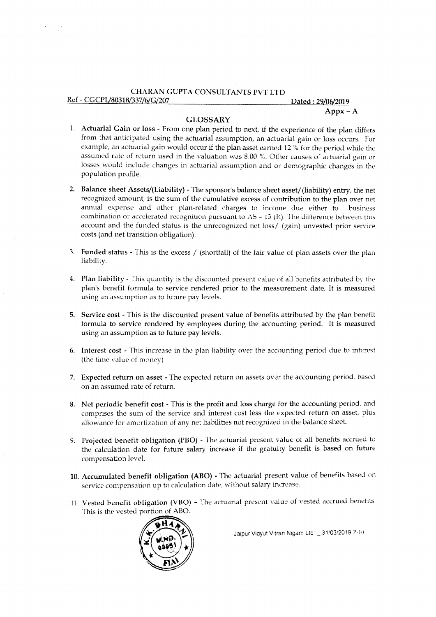# CHARAN GUPTA CONSULTANTS PVT LTD

# Ref - CGCPL/80318/337/6/G/207

## Dated: 29/06/2019  $A$ ppx –  $A$

# **GLOSSARY**

- 1. Actuarial Gain or loss From one plan period to next, if the experience of the plan differs from that anticipated using the actuarial assumption, an actuarial gain or loss occurs. For example, an actuarial gain would occur if the plan asset earned 12 % for the period while the assumed rate of return used in the valuation was 8.00 %. Other causes of actuarial gain or losses would include changes in actuarial assumption and or demographic changes in the population profile.
- 2. Balance sheet Assets/(Liability) The sponsor's balance sheet asset/(liability) entry, the net recognized amount, is the sum of the cumulative excess of contribution to the plan over net annual expense and other plan-related charges to income due either to business combination or accelerated recognition pursuant to  $AS - 15$  (R). The difference between this account and the funded status is the unrecognized net loss/ (gain) unvested prior service costs (and net transition obligation).
- 3. Funded status This is the excess / (shortfall) of the fair value of plan assets over the plan liability.
- 4. Plan liability This quantity is the discounted present value of all benefits attributed by the plan's benefit formula to service rendered prior to the measurement date. It is measured using an assumption as to future pay levels.
- 5. Service cost This is the discounted present value of benefits attributed by the plan benefit formula to service rendered by employees during the accounting period. It is measured using an assumption as to future pay levels.
- 6. Interest cost This increase in the plan liability over the accounting period due to interest (the time value of money)
- 7. Expected return on asset The expected return on assets over the accounting period, based on an assumed rate of return.
- 8. Net periodic benefit cost This is the profit and loss charge for the accounting period, and comprises the sum of the service and interest cost less the expected return on asset, plus allowance for amortization of any net liabilities not recognized in the balance sheet.
- 9. Projected benefit obligation (PBO) The actuarial present value of all benefits accrued to the calculation date for future salary increase if the gratuity benefit is based on future compensation level.
- 10. Accumulated benefit obligation (ABO) The actuarial present value of benefits based on service compensation up to calculation date, without salary increase.
- 11. Vested benefit obligation (VBO) The actuarial present value of vested accrued benefits. This is the vested portion of ABO.